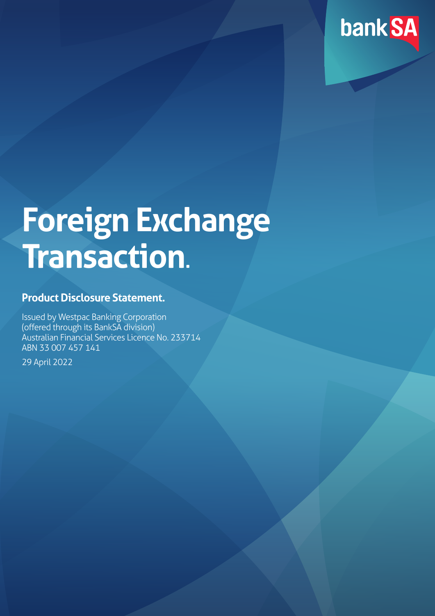

# **Foreign Exchange Transaction**.

# **Product Disclosure Statement.**

Issued by Westpac Banking Corporation (offered through its BankSA division) Australian Financial Services Licence No. 233714 ABN 33 007 457 141

29 April 2022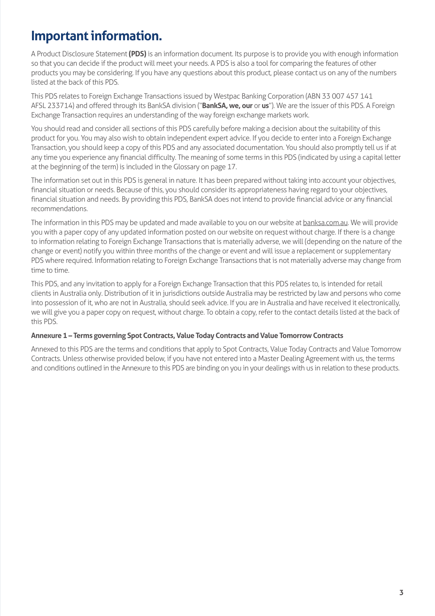# **Important information.**

A Product Disclosure Statement **(PDS)** is an information document. Its purpose is to provide you with enough information so that you can decide if the product will meet your needs. A PDS is also a tool for comparing the features of other products you may be considering. If you have any questions about this product, please contact us on any of the numbers listed at the back of this PDS.

This PDS relates to Foreign Exchange Transactions issued by Westpac Banking Corporation (ABN 33 007 457 141 AFSL 233714) and offered through its BankSA division ("**BankSA, we, our** or **us**"). We are the issuer of this PDS. A Foreign Exchange Transaction requires an understanding of the way foreign exchange markets work.

You should read and consider all sections of this PDS carefully before making a decision about the suitability of this product for you. You may also wish to obtain independent expert advice. If you decide to enter into a Foreign Exchange Transaction, you should keep a copy of this PDS and any associated documentation. You should also promptly tell us if at any time you experience any financial difficulty. The meaning of some terms in this PDS (indicated by using a capital letter at the beginning of the term) is included in the Glossary on page 17.

The information set out in this PDS is general in nature. It has been prepared without taking into account your objectives, financial situation or needs. Because of this, you should consider its appropriateness having regard to your objectives, financial situation and needs. By providing this PDS, BankSA does not intend to provide financial advice or any financial recommendations.

The information in this PDS may be updated and made available to you on our website at [banksa.com.au.](http://banksa.com.au) We will provide you with a paper copy of any updated information posted on our website on request without charge. If there is a change to information relating to Foreign Exchange Transactions that is materially adverse, we will (depending on the nature of the change or event) notify you within three months of the change or event and will issue a replacement or supplementary PDS where required. Information relating to Foreign Exchange Transactions that is not materially adverse may change from time to time.

This PDS, and any invitation to apply for a Foreign Exchange Transaction that this PDS relates to, is intended for retail clients in Australia only. Distribution of it in jurisdictions outside Australia may be restricted by law and persons who come into possession of it, who are not in Australia, should seek advice. If you are in Australia and have received it electronically, we will give you a paper copy on request, without charge. To obtain a copy, refer to the contact details listed at the back of this PDS.

#### **Annexure 1 – Terms governing Spot Contracts, Value Today Contracts and Value Tomorrow Contracts**

Annexed to this PDS are the terms and conditions that apply to Spot Contracts, Value Today Contracts and Value Tomorrow Contracts. Unless otherwise provided below, if you have not entered into a Master Dealing Agreement with us, the terms and conditions outlined in the Annexure to this PDS are binding on you in your dealings with us in relation to these products.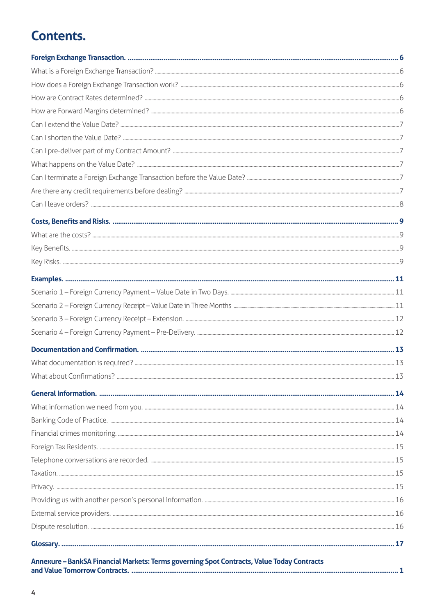# **Contents.**

| Annexure - BankSA Financial Markets: Terms governing Spot Contracts, Value Today Contracts |  |
|--------------------------------------------------------------------------------------------|--|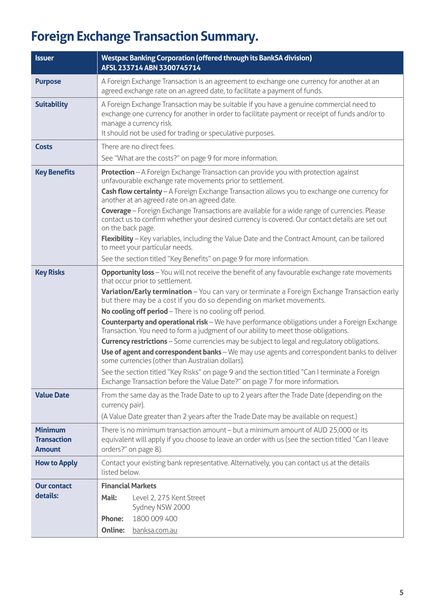# **Foreign Exchange Transaction Summary.**

| <b>Issuer</b>                                         | <b>Westpac Banking Corporation (offered through its BankSA division)</b><br>AFSL 233714 ABN 3300745714                                                                                                                                                                                                                                                                                                                                                                                                                                                                                                                                                                                                                                                                                                                                                                                                                                                                                                            |  |  |  |  |  |
|-------------------------------------------------------|-------------------------------------------------------------------------------------------------------------------------------------------------------------------------------------------------------------------------------------------------------------------------------------------------------------------------------------------------------------------------------------------------------------------------------------------------------------------------------------------------------------------------------------------------------------------------------------------------------------------------------------------------------------------------------------------------------------------------------------------------------------------------------------------------------------------------------------------------------------------------------------------------------------------------------------------------------------------------------------------------------------------|--|--|--|--|--|
| <b>Purpose</b>                                        | A Foreign Exchange Transaction is an agreement to exchange one currency for another at an<br>agreed exchange rate on an agreed date, to facilitate a payment of funds.                                                                                                                                                                                                                                                                                                                                                                                                                                                                                                                                                                                                                                                                                                                                                                                                                                            |  |  |  |  |  |
| <b>Suitability</b>                                    | A Foreign Exchange Transaction may be suitable if you have a genuine commercial need to<br>exchange one currency for another in order to facilitate payment or receipt of funds and/or to<br>manage a currency risk.<br>It should not be used for trading or speculative purposes.                                                                                                                                                                                                                                                                                                                                                                                                                                                                                                                                                                                                                                                                                                                                |  |  |  |  |  |
| <b>Costs</b>                                          | There are no direct fees.<br>See "What are the costs?" on page 9 for more information.                                                                                                                                                                                                                                                                                                                                                                                                                                                                                                                                                                                                                                                                                                                                                                                                                                                                                                                            |  |  |  |  |  |
| <b>Key Benefits</b>                                   | Protection - A Foreign Exchange Transaction can provide you with protection against<br>unfavourable exchange rate movements prior to settlement.<br>Cash flow certainty - A Foreign Exchange Transaction allows you to exchange one currency for<br>another at an agreed rate on an agreed date.<br><b>Coverage</b> - Foreign Exchange Transactions are available for a wide range of currencies. Please<br>contact us to confirm whether your desired currency is covered. Our contact details are set out<br>on the back page.<br>Flexibility - Key variables, including the Value Date and the Contract Amount, can be tailored<br>to meet your particular needs.<br>See the section titled "Key Benefits" on page 9 for more information.                                                                                                                                                                                                                                                                     |  |  |  |  |  |
| <b>Key Risks</b>                                      | <b>Opportunity loss</b> - You will not receive the benefit of any favourable exchange rate movements<br>that occur prior to settlement.<br>Variation/Early termination - You can vary or terminate a Foreign Exchange Transaction early<br>but there may be a cost if you do so depending on market movements.<br>No cooling off period - There is no cooling off period.<br><b>Counterparty and operational risk</b> - We have performance obligations under a Foreign Exchange<br>Transaction. You need to form a judgment of our ability to meet those obligations.<br><b>Currency restrictions</b> – Some currencies may be subject to legal and regulatory obligations.<br>Use of agent and correspondent banks - We may use agents and correspondent banks to deliver<br>some currencies (other than Australian dollars).<br>See the section titled "Key Risks" on page 9 and the section titled "Can I terminate a Foreign<br>Exchange Transaction before the Value Date?" on page 7 for more information. |  |  |  |  |  |
| <b>Value Date</b>                                     | From the same day as the Trade Date to up to 2 years after the Trade Date (depending on the<br>currency pair).<br>(A Value Date greater than 2 years after the Trade Date may be available on request.)                                                                                                                                                                                                                                                                                                                                                                                                                                                                                                                                                                                                                                                                                                                                                                                                           |  |  |  |  |  |
| <b>Minimum</b><br><b>Transaction</b><br><b>Amount</b> | There is no minimum transaction amount - but a minimum amount of AUD 25,000 or its<br>equivalent will apply if you choose to leave an order with us (see the section titled "Can I leave<br>orders?" on page 8).                                                                                                                                                                                                                                                                                                                                                                                                                                                                                                                                                                                                                                                                                                                                                                                                  |  |  |  |  |  |
| <b>How to Apply</b>                                   | Contact your existing bank representative. Alternatively, you can contact us at the details<br>listed below.                                                                                                                                                                                                                                                                                                                                                                                                                                                                                                                                                                                                                                                                                                                                                                                                                                                                                                      |  |  |  |  |  |
| <b>Our contact</b><br>details:                        | <b>Financial Markets</b><br>Mail:<br>Level 2, 275 Kent Street<br>Sydney NSW 2000<br>1800 009 400<br>Phone:<br><b>Online:</b><br>banksa.com.au                                                                                                                                                                                                                                                                                                                                                                                                                                                                                                                                                                                                                                                                                                                                                                                                                                                                     |  |  |  |  |  |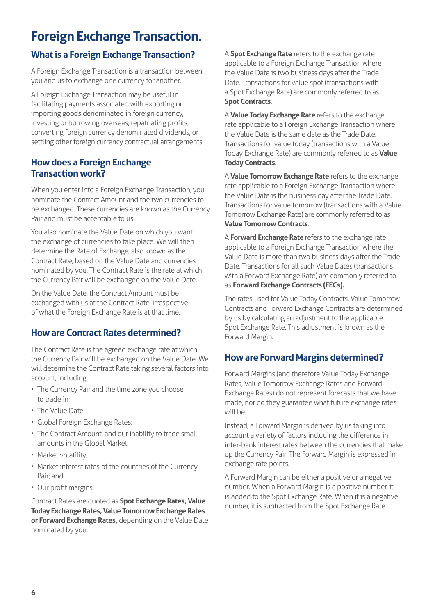# <span id="page-5-0"></span>**Foreign Exchange Transaction.**

# **What is a Foreign Exchange Transaction?**

A Foreign Exchange Transaction is a transaction between you and us to exchange one currency for another.

A Foreign Exchange Transaction may be useful in facilitating payments associated with exporting or importing goods denominated in foreign currency, investing or borrowing overseas, repatriating profits, converting foreign currency denominated dividends, or settling other foreign currency contractual arrangements.

### **How does a Foreign Exchange Transaction work?**

When you enter into a Foreign Exchange Transaction, you nominate the Contract Amount and the two currencies to be exchanged. These currencies are known as the Currency Pair and must be acceptable to us.

You also nominate the Value Date on which you want the exchange of currencies to take place. We will then determine the Rate of Exchange, also known as the Contract Rate, based on the Value Date and currencies nominated by you. The Contract Rate is the rate at which the Currency Pair will be exchanged on the Value Date.

On the Value Date, the Contract Amount must be exchanged with us at the Contract Rate, irrespective of what the Foreign Exchange Rate is at that time.

# **How are Contract Rates determined?**

The Contract Rate is the agreed exchange rate at which the Currency Pair will be exchanged on the Value Date. We will determine the Contract Rate taking several factors into account, including:

- The Currency Pair and the time zone you choose to trade in;
- The Value Date;
- Global Foreign Exchange Rates;
- The Contract Amount, and our inability to trade small amounts in the Global Market;
- Market volatility;
- Market interest rates of the countries of the Currency Pair; and
- Our profit margins.

Contract Rates are quoted as **Spot Exchange Rates, Value Today Exchange Rates, Value Tomorrow Exchange Rates or Forward Exchange Rates,** depending on the Value Date nominated by you.

A **Spot Exchange Rate** refers to the exchange rate applicable to a Foreign Exchange Transaction where the Value Date is two business days after the Trade Date. Transactions for value spot (transactions with a Spot Exchange Rate) are commonly referred to as **Spot Contracts**.

A **Value Today Exchange Rate** refers to the exchange rate applicable to a Foreign Exchange Transaction where the Value Date is the same date as the Trade Date. Transactions for value today (transactions with a Value Today Exchange Rate) are commonly referred to as **Value Today Contracts**.

A **Value Tomorrow Exchange Rate** refers to the exchange rate applicable to a Foreign Exchange Transaction where the Value Date is the business day after the Trade Date. Transactions for value tomorrow (transactions with a Value Tomorrow Exchange Rate) are commonly referred to as **Value Tomorrow Contracts**.

A **Forward Exchange Rate** refers to the exchange rate applicable to a Foreign Exchange Transaction where the Value Date is more than two business days after the Trade Date. Transactions for all such Value Dates (transactions with a Forward Exchange Rate) are commonly referred to as **Forward Exchange Contracts (FECs).**

The rates used for Value Today Contracts, Value Tomorrow Contracts and Forward Exchange Contracts are determined by us by calculating an adjustment to the applicable Spot Exchange Rate. This adjustment is known as the Forward Margin.

# **How are Forward Margins determined?**

Forward Margins (and therefore Value Today Exchange Rates, Value Tomorrow Exchange Rates and Forward Exchange Rates) do not represent forecasts that we have made, nor do they guarantee what future exchange rates will be.

Instead, a Forward Margin is derived by us taking into account a variety of factors including the difference in inter-bank interest rates between the currencies that make up the Currency Pair. The Forward Margin is expressed in exchange rate points.

A Forward Margin can be either a positive or a negative number. When a Forward Margin is a positive number, it is added to the Spot Exchange Rate. When it is a negative number, it is subtracted from the Spot Exchange Rate.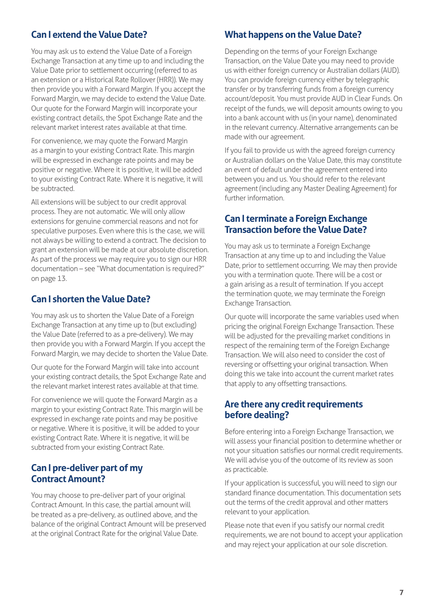### <span id="page-6-0"></span>**Can I extend the Value Date?**

You may ask us to extend the Value Date of a Foreign Exchange Transaction at any time up to and including the Value Date prior to settlement occurring (referred to as an extension or a Historical Rate Rollover (HRR)). We may then provide you with a Forward Margin. If you accept the Forward Margin, we may decide to extend the Value Date. Our quote for the Forward Margin will incorporate your existing contract details, the Spot Exchange Rate and the relevant market interest rates available at that time.

For convenience, we may quote the Forward Margin as a margin to your existing Contract Rate. This margin will be expressed in exchange rate points and may be positive or negative. Where it is positive, it will be added to your existing Contract Rate. Where it is negative, it will be subtracted.

All extensions will be subject to our credit approval process. They are not automatic. We will only allow extensions for genuine commercial reasons and not for speculative purposes. Even where this is the case, we will not always be willing to extend a contract. The decision to grant an extension will be made at our absolute discretion. As part of the process we may require you to sign our HRR documentation – see "What documentation is required?" on page 13.

#### **Can I shorten the Value Date?**

You may ask us to shorten the Value Date of a Foreign Exchange Transaction at any time up to (but excluding) the Value Date (referred to as a pre-delivery). We may then provide you with a Forward Margin. If you accept the Forward Margin, we may decide to shorten the Value Date.

Our quote for the Forward Margin will take into account your existing contract details, the Spot Exchange Rate and the relevant market interest rates available at that time.

For convenience we will quote the Forward Margin as a margin to your existing Contract Rate. This margin will be expressed in exchange rate points and may be positive or negative. Where it is positive, it will be added to your existing Contract Rate. Where it is negative, it will be subtracted from your existing Contract Rate.

#### **Can I pre-deliver part of my Contract Amount?**

You may choose to pre-deliver part of your original Contract Amount. In this case, the partial amount will be treated as a pre-delivery, as outlined above, and the balance of the original Contract Amount will be preserved at the original Contract Rate for the original Value Date.

#### **What happens on the Value Date?**

Depending on the terms of your Foreign Exchange Transaction, on the Value Date you may need to provide us with either foreign currency or Australian dollars (AUD). You can provide foreign currency either by telegraphic transfer or by transferring funds from a foreign currency account/deposit. You must provide AUD in Clear Funds. On receipt of the funds, we will deposit amounts owing to you into a bank account with us (in your name), denominated in the relevant currency. Alternative arrangements can be made with our agreement.

If you fail to provide us with the agreed foreign currency or Australian dollars on the Value Date, this may constitute an event of default under the agreement entered into between you and us. You should refer to the relevant agreement (including any Master Dealing Agreement) for further information.

#### **Can I terminate a Foreign Exchange Transaction before the Value Date?**

You may ask us to terminate a Foreign Exchange Transaction at any time up to and including the Value Date, prior to settlement occurring. We may then provide you with a termination quote. There will be a cost or a gain arising as a result of termination. If you accept the termination quote, we may terminate the Foreign Exchange Transaction.

Our quote will incorporate the same variables used when pricing the original Foreign Exchange Transaction. These will be adjusted for the prevailing market conditions in respect of the remaining term of the Foreign Exchange Transaction. We will also need to consider the cost of reversing or offsetting your original transaction. When doing this we take into account the current market rates that apply to any offsetting transactions.

#### **Are there any credit requirements before dealing?**

Before entering into a Foreign Exchange Transaction, we will assess your financial position to determine whether or not your situation satisfies our normal credit requirements. We will advise you of the outcome of its review as soon as practicable.

If your application is successful, you will need to sign our standard finance documentation. This documentation sets out the terms of the credit approval and other matters relevant to your application.

Please note that even if you satisfy our normal credit requirements, we are not bound to accept your application and may reject your application at our sole discretion.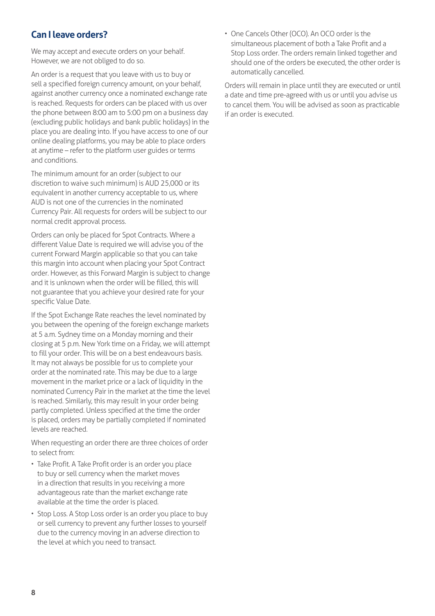# <span id="page-7-0"></span>**Can I leave orders?**

We may accept and execute orders on your behalf. However, we are not obliged to do so.

An order is a request that you leave with us to buy or sell a specified foreign currency amount, on your behalf, against another currency once a nominated exchange rate is reached. Requests for orders can be placed with us over the phone between 8:00 am to 5:00 pm on a business day (excluding public holidays and bank public holidays) in the place you are dealing into. If you have access to one of our online dealing platforms, you may be able to place orders at anytime – refer to the platform user guides or terms and conditions.

The minimum amount for an order (subject to our discretion to waive such minimum) is AUD 25,000 or its equivalent in another currency acceptable to us, where AUD is not one of the currencies in the nominated Currency Pair. All requests for orders will be subject to our normal credit approval process.

Orders can only be placed for Spot Contracts. Where a different Value Date is required we will advise you of the current Forward Margin applicable so that you can take this margin into account when placing your Spot Contract order. However, as this Forward Margin is subject to change and it is unknown when the order will be filled, this will not guarantee that you achieve your desired rate for your specific Value Date.

If the Spot Exchange Rate reaches the level nominated by you between the opening of the foreign exchange markets at 5 a.m. Sydney time on a Monday morning and their closing at 5 p.m. New York time on a Friday, we will attempt to fill your order. This will be on a best endeavours basis. It may not always be possible for us to complete your order at the nominated rate. This may be due to a large movement in the market price or a lack of liquidity in the nominated Currency Pair in the market at the time the level is reached. Similarly, this may result in your order being partly completed. Unless specified at the time the order is placed, orders may be partially completed if nominated levels are reached.

When requesting an order there are three choices of order to select from:

- Take Profit. A Take Profit order is an order you place to buy or sell currency when the market moves in a direction that results in you receiving a more advantageous rate than the market exchange rate available at the time the order is placed.
- Stop Loss. A Stop Loss order is an order you place to buy or sell currency to prevent any further losses to yourself due to the currency moving in an adverse direction to the level at which you need to transact.

• One Cancels Other (OCO). An OCO order is the simultaneous placement of both a Take Profit and a Stop Loss order. The orders remain linked together and should one of the orders be executed, the other order is automatically cancelled.

Orders will remain in place until they are executed or until a date and time pre-agreed with us or until you advise us to cancel them. You will be advised as soon as practicable if an order is executed.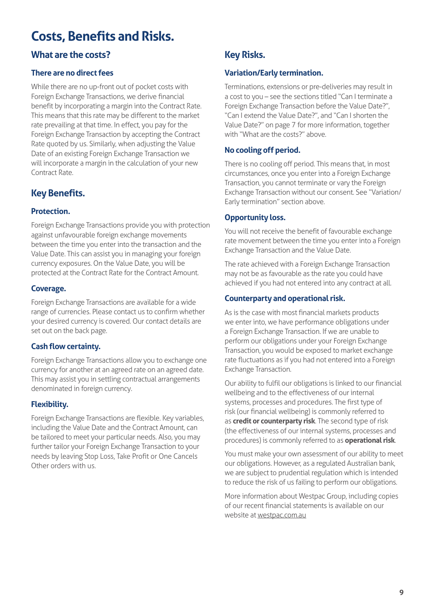# <span id="page-8-0"></span>**Costs, Benefits and Risks.**

### **What are the costs?**

#### **There are no direct fees**

While there are no up-front out of pocket costs with Foreign Exchange Transactions, we derive financial benefit by incorporating a margin into the Contract Rate. This means that this rate may be different to the market rate prevailing at that time. In effect, you pay for the Foreign Exchange Transaction by accepting the Contract Rate quoted by us. Similarly, when adjusting the Value Date of an existing Foreign Exchange Transaction we will incorporate a margin in the calculation of your new Contract Rate.

# **Key Benefits.**

#### **Protection.**

Foreign Exchange Transactions provide you with protection against unfavourable foreign exchange movements between the time you enter into the transaction and the Value Date. This can assist you in managing your foreign currency exposures. On the Value Date, you will be protected at the Contract Rate for the Contract Amount.

#### **Coverage.**

Foreign Exchange Transactions are available for a wide range of currencies. Please contact us to confirm whether your desired currency is covered. Our contact details are set out on the back page.

#### **Cash flow certainty.**

Foreign Exchange Transactions allow you to exchange one currency for another at an agreed rate on an agreed date. This may assist you in settling contractual arrangements denominated in foreign currency.

#### **Flexibility.**

Foreign Exchange Transactions are flexible. Key variables, including the Value Date and the Contract Amount, can be tailored to meet your particular needs. Also, you may further tailor your Foreign Exchange Transaction to your needs by leaving Stop Loss, Take Profit or One Cancels Other orders with us.

# **Key Risks.**

#### **Variation/Early termination.**

Terminations, extensions or pre-deliveries may result in a cost to you – see the sections titled "Can I terminate a Foreign Exchange Transaction before the Value Date?", "Can I extend the Value Date?", and "Can I shorten the Value Date?" on page 7 for more information, together with "What are the costs?" above.

#### **No cooling off period.**

There is no cooling off period. This means that, in most circumstances, once you enter into a Foreign Exchange Transaction, you cannot terminate or vary the Foreign Exchange Transaction without our consent. See "Variation/ Early termination" section above.

#### **Opportunity loss.**

You will not receive the benefit of favourable exchange rate movement between the time you enter into a Foreign Exchange Transaction and the Value Date.

The rate achieved with a Foreign Exchange Transaction may not be as favourable as the rate you could have achieved if you had not entered into any contract at all.

#### **Counterparty and operational risk.**

As is the case with most financial markets products we enter into, we have performance obligations under a Foreign Exchange Transaction. If we are unable to perform our obligations under your Foreign Exchange Transaction, you would be exposed to market exchange rate fluctuations as if you had not entered into a Foreign Exchange Transaction.

Our ability to fulfil our obligations is linked to our financial wellbeing and to the effectiveness of our internal systems, processes and procedures. The first type of risk (our financial wellbeing) is commonly referred to as **credit or counterparty risk**. The second type of risk (the effectiveness of our internal systems, processes and procedures) is commonly referred to as **operational risk**.

You must make your own assessment of our ability to meet our obligations. However, as a regulated Australian bank, we are subject to prudential regulation which is intended to reduce the risk of us failing to perform our obligations.

More information about Westpac Group, including copies of our recent financial statements is available on our website at westpac.com.au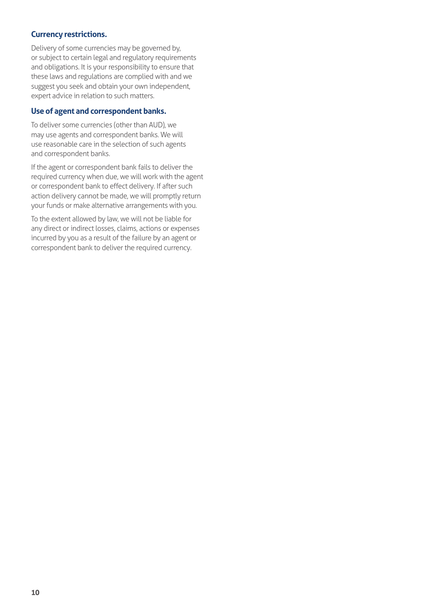#### **Currency restrictions.**

Delivery of some currencies may be governed by, or subject to certain legal and regulatory requirements and obligations. It is your responsibility to ensure that these laws and regulations are complied with and we suggest you seek and obtain your own independent, expert advice in relation to such matters.

#### **Use of agent and correspondent banks.**

To deliver some currencies (other than AUD), we may use agents and correspondent banks. We will use reasonable care in the selection of such agents and correspondent banks.

If the agent or correspondent bank fails to deliver the required currency when due, we will work with the agent or correspondent bank to effect delivery. If after such action delivery cannot be made, we will promptly return your funds or make alternative arrangements with you.

To the extent allowed by law, we will not be liable for any direct or indirect losses, claims, actions or expenses incurred by you as a result of the failure by an agent or correspondent bank to deliver the required currency.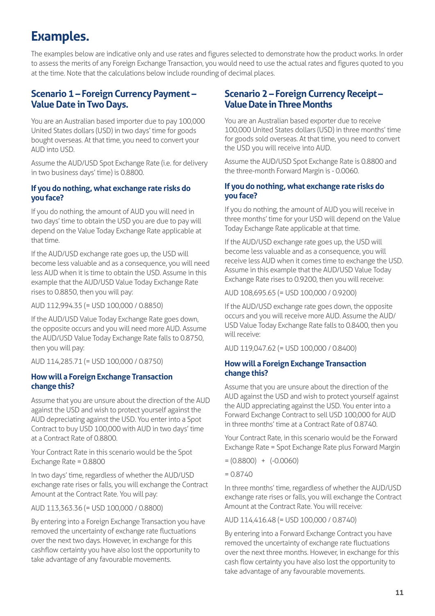# <span id="page-10-0"></span>**Examples.**

The examples below are indicative only and use rates and figures selected to demonstrate how the product works. In order to assess the merits of any Foreign Exchange Transaction, you would need to use the actual rates and figures quoted to you at the time. Note that the calculations below include rounding of decimal places.

### **Scenario 1 – Foreign Currency Payment – Value Date in Two Days.**

You are an Australian based importer due to pay 100,000 United States dollars (USD) in two days' time for goods bought overseas. At that time, you need to convert your AUD into USD.

Assume the AUD/USD Spot Exchange Rate (i.e. for delivery in two business days' time) is 0.8800.

#### **If you do nothing, what exchange rate risks do you face?**

If you do nothing, the amount of AUD you will need in two days' time to obtain the USD you are due to pay will depend on the Value Today Exchange Rate applicable at that time.

If the AUD/USD exchange rate goes up, the USD will become less valuable and as a consequence, you will need less AUD when it is time to obtain the USD. Assume in this example that the AUD/USD Value Today Exchange Rate rises to 0.8850, then you will pay:

AUD 112,994.35 (= USD 100,000 / 0.8850)

If the AUD/USD Value Today Exchange Rate goes down, the opposite occurs and you will need more AUD. Assume the AUD/USD Value Today Exchange Rate falls to 0.8750, then you will pay:

AUD 114,285.71 (= USD 100,000 / 0.8750)

#### **How will a Foreign Exchange Transaction change this?**

Assume that you are unsure about the direction of the AUD against the USD and wish to protect yourself against the AUD depreciating against the USD. You enter into a Spot Contract to buy USD 100,000 with AUD in two days' time at a Contract Rate of 0.8800.

Your Contract Rate in this scenario would be the Spot Exchange Rate = 0.8800

In two days' time, regardless of whether the AUD/USD exchange rate rises or falls, you will exchange the Contract Amount at the Contract Rate. You will pay:

AUD 113,363.36 (= USD 100,000 / 0.8800)

By entering into a Foreign Exchange Transaction you have removed the uncertainty of exchange rate fluctuations over the next two days. However, in exchange for this cashflow certainty you have also lost the opportunity to take advantage of any favourable movements.

#### **Scenario 2 – Foreign Currency Receipt – Value Date in Three Months**

You are an Australian based exporter due to receive 100,000 United States dollars (USD) in three months' time for goods sold overseas. At that time, you need to convert the USD you will receive into AUD.

Assume the AUD/USD Spot Exchange Rate is 0.8800 and the three-month Forward Margin is - 0.0060.

#### **If you do nothing, what exchange rate risks do you face?**

If you do nothing, the amount of AUD you will receive in three months' time for your USD will depend on the Value Today Exchange Rate applicable at that time.

If the AUD/USD exchange rate goes up, the USD will become less valuable and as a consequence, you will receive less AUD when it comes time to exchange the USD. Assume in this example that the AUD/USD Value Today Exchange Rate rises to 0.9200, then you will receive:

AUD 108,695.65 (= USD 100,000 / 0.9200)

If the AUD/USD exchange rate goes down, the opposite occurs and you will receive more AUD. Assume the AUD/ USD Value Today Exchange Rate falls to 0.8400, then you will receive:

AUD 119,047.62 (= USD 100,000 / 0.8400)

#### **How will a Foreign Exchange Transaction change this?**

Assume that you are unsure about the direction of the AUD against the USD and wish to protect yourself against the AUD appreciating against the USD. You enter into a Forward Exchange Contract to sell USD 100,000 for AUD in three months' time at a Contract Rate of 0.8740.

Your Contract Rate, in this scenario would be the Forward Exchange Rate = Spot Exchange Rate plus Forward Margin

 $=(0.8800) + (-0.0060)$ 

 $= 0.8740$ 

In three months' time, regardless of whether the AUD/USD exchange rate rises or falls, you will exchange the Contract Amount at the Contract Rate. You will receive:

AUD 114,416.48 (= USD 100,000 / 0.8740)

By entering into a Forward Exchange Contract you have removed the uncertainty of exchange rate fluctuations over the next three months. However, in exchange for this cash flow certainty you have also lost the opportunity to take advantage of any favourable movements.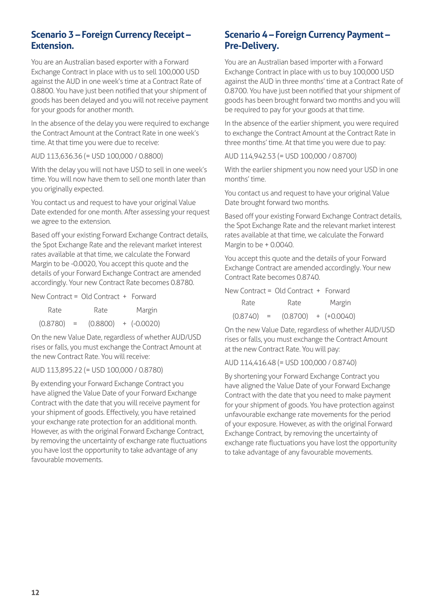# <span id="page-11-0"></span>**Scenario 3 – Foreign Currency Receipt – Extension.**

You are an Australian based exporter with a Forward Exchange Contract in place with us to sell 100,000 USD against the AUD in one week's time at a Contract Rate of 0.8800. You have just been notified that your shipment of goods has been delayed and you will not receive payment for your goods for another month.

In the absence of the delay you were required to exchange the Contract Amount at the Contract Rate in one week's time. At that time you were due to receive:

AUD 113,636.36 (= USD 100,000 / 0.8800)

With the delay you will not have USD to sell in one week's time. You will now have them to sell one month later than you originally expected.

You contact us and request to have your original Value Date extended for one month. After assessing your request we agree to the extension.

Based off your existing Forward Exchange Contract details, the Spot Exchange Rate and the relevant market interest rates available at that time, we calculate the Forward Margin to be -0.0020, You accept this quote and the details of your Forward Exchange Contract are amended accordingly. Your new Contract Rate becomes 0.8780.

New Contract = Old Contract + Forward

Rate Rate Margin  $(0.8780) = (0.8800) + (-0.0020)$ 

On the new Value Date, regardless of whether AUD/USD rises or falls, you must exchange the Contract Amount at the new Contract Rate. You will receive:

AUD 113,895.22 (= USD 100,000 / 0.8780)

By extending your Forward Exchange Contract you have aligned the Value Date of your Forward Exchange Contract with the date that you will receive payment for your shipment of goods. Effectively, you have retained your exchange rate protection for an additional month. However, as with the original Forward Exchange Contract, by removing the uncertainty of exchange rate fluctuations you have lost the opportunity to take advantage of any favourable movements.

### **Scenario 4 – Foreign Currency Payment – Pre-Delivery.**

You are an Australian based importer with a Forward Exchange Contract in place with us to buy 100,000 USD against the AUD in three months' time at a Contract Rate of 0.8700. You have just been notified that your shipment of goods has been brought forward two months and you will be required to pay for your goods at that time.

In the absence of the earlier shipment, you were required to exchange the Contract Amount at the Contract Rate in three months' time. At that time you were due to pay:

AUD 114,942.53 (= USD 100,000 / 0.8700)

With the earlier shipment you now need your USD in one months' time.

You contact us and request to have your original Value Date brought forward two months.

Based off your existing Forward Exchange Contract details, the Spot Exchange Rate and the relevant market interest rates available at that time, we calculate the Forward Margin to be + 0.0040.

You accept this quote and the details of your Forward Exchange Contract are amended accordingly. Your new Contract Rate becomes 0.8740.

|              | New Contract = Old Contract + Forward |        |
|--------------|---------------------------------------|--------|
| Rate         | Rate                                  | Margin |
| $(0.8740) =$ | $(0.8700)$ + $(+0.0040)$              |        |

On the new Value Date, regardless of whether AUD/USD rises or falls, you must exchange the Contract Amount at the new Contract Rate. You will pay:

AUD 114,416.48 (= USD 100,000 / 0.8740)

By shortening your Forward Exchange Contract you have aligned the Value Date of your Forward Exchange Contract with the date that you need to make payment for your shipment of goods. You have protection against unfavourable exchange rate movements for the period of your exposure. However, as with the original Forward Exchange Contract, by removing the uncertainty of exchange rate fluctuations you have lost the opportunity to take advantage of any favourable movements.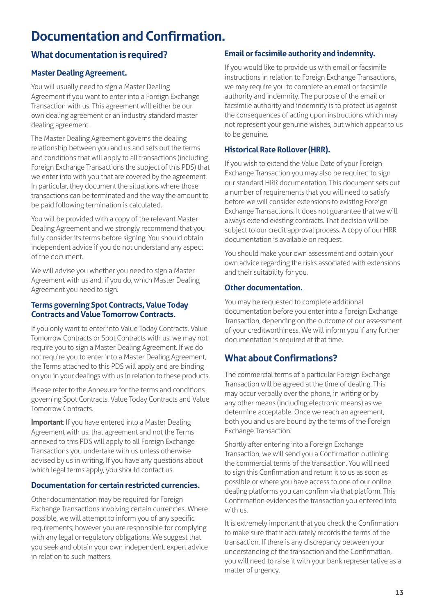# <span id="page-12-0"></span>**Documentation and Confirmation.**

# **What documentation is required?**

#### **Master Dealing Agreement.**

You will usually need to sign a Master Dealing Agreement if you want to enter into a Foreign Exchange Transaction with us. This agreement will either be our own dealing agreement or an industry standard master dealing agreement.

The Master Dealing Agreement governs the dealing relationship between you and us and sets out the terms and conditions that will apply to all transactions (including Foreign Exchange Transactions the subject of this PDS) that we enter into with you that are covered by the agreement. In particular, they document the situations where those transactions can be terminated and the way the amount to be paid following termination is calculated.

You will be provided with a copy of the relevant Master Dealing Agreement and we strongly recommend that you fully consider its terms before signing. You should obtain independent advice if you do not understand any aspect of the document.

We will advise you whether you need to sign a Master Agreement with us and, if you do, which Master Dealing Agreement you need to sign.

#### **Terms governing Spot Contracts, Value Today Contracts and Value Tomorrow Contracts.**

If you only want to enter into Value Today Contracts, Value Tomorrow Contracts or Spot Contracts with us, we may not require you to sign a Master Dealing Agreement. If we do not require you to enter into a Master Dealing Agreement, the Terms attached to this PDS will apply and are binding on you in your dealings with us in relation to these products.

Please refer to the Annexure for the terms and conditions governing Spot Contracts, Value Today Contracts and Value Tomorrow Contracts.

**Important:** If you have entered into a Master Dealing Agreement with us, that agreement and not the Terms annexed to this PDS will apply to all Foreign Exchange Transactions you undertake with us unless otherwise advised by us in writing. If you have any questions about which legal terms apply, you should contact us.

#### **Documentation for certain restricted currencies.**

Other documentation may be required for Foreign Exchange Transactions involving certain currencies. Where possible, we will attempt to inform you of any specific requirements; however you are responsible for complying with any legal or regulatory obligations. We suggest that you seek and obtain your own independent, expert advice in relation to such matters.

#### **Email or facsimile authority and indemnity.**

If you would like to provide us with email or facsimile instructions in relation to Foreign Exchange Transactions, we may require you to complete an email or facsimile authority and indemnity. The purpose of the email or facsimile authority and indemnity is to protect us against the consequences of acting upon instructions which may not represent your genuine wishes, but which appear to us to be genuine.

#### **Historical Rate Rollover (HRR).**

If you wish to extend the Value Date of your Foreign Exchange Transaction you may also be required to sign our standard HRR documentation. This document sets out a number of requirements that you will need to satisfy before we will consider extensions to existing Foreign Exchange Transactions. It does not guarantee that we will always extend existing contracts. That decision will be subject to our credit approval process. A copy of our HRR documentation is available on request.

You should make your own assessment and obtain your own advice regarding the risks associated with extensions and their suitability for you.

#### **Other documentation.**

You may be requested to complete additional documentation before you enter into a Foreign Exchange Transaction, depending on the outcome of our assessment of your creditworthiness. We will inform you if any further documentation is required at that time.

# **What about Confirmations?**

The commercial terms of a particular Foreign Exchange Transaction will be agreed at the time of dealing. This may occur verbally over the phone, in writing or by any other means (including electronic means) as we determine acceptable. Once we reach an agreement, both you and us are bound by the terms of the Foreign Exchange Transaction.

Shortly after entering into a Foreign Exchange Transaction, we will send you a Confirmation outlining the commercial terms of the transaction. You will need to sign this Confirmation and return it to us as soon as possible or where you have access to one of our online dealing platforms you can confirm via that platform. This Confirmation evidences the transaction you entered into with us.

It is extremely important that you check the Confirmation to make sure that it accurately records the terms of the transaction. If there is any discrepancy between your understanding of the transaction and the Confirmation, you will need to raise it with your bank representative as a matter of urgency.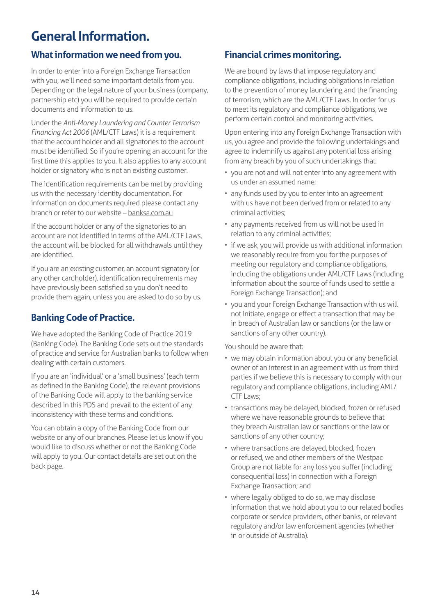# <span id="page-13-0"></span>**General Information.**

# **What information we need from you.**

In order to enter into a Foreign Exchange Transaction with you, we'll need some important details from you. Depending on the legal nature of your business (company, partnership etc) you will be required to provide certain documents and information to us.

Under the *Anti-Money Laundering and Counter Terrorism Financing Act 2006* (AML/CTF Laws) it is a requirement that the account holder and all signatories to the account must be identified. So if you're opening an account for the first time this applies to you. It also applies to any account holder or signatory who is not an existing customer.

The identification requirements can be met by providing us with the necessary identity documentation. For information on documents required please contact any branch or refer to our website – [banksa.com.au](http://banksa.com.au)

If the account holder or any of the signatories to an account are not identified in terms of the AML/CTF Laws, the account will be blocked for all withdrawals until they are identified.

If you are an existing customer, an account signatory (or any other cardholder), identification requirements may have previously been satisfied so you don't need to provide them again, unless you are asked to do so by us.

# **Banking Code of Practice.**

We have adopted the Banking Code of Practice 2019 (Banking Code). The Banking Code sets out the standards of practice and service for Australian banks to follow when dealing with certain customers.

If you are an 'individual' or a 'small business' (each term as defined in the Banking Code), the relevant provisions of the Banking Code will apply to the banking service described in this PDS and prevail to the extent of any inconsistency with these terms and conditions.

You can obtain a copy of the Banking Code from our website or any of our branches. Please let us know if you would like to discuss whether or not the Banking Code will apply to you. Our contact details are set out on the back page.

# **Financial crimes monitoring.**

We are bound by laws that impose regulatory and compliance obligations, including obligations in relation to the prevention of money laundering and the financing of terrorism, which are the AML/CTF Laws. In order for us to meet its regulatory and compliance obligations, we perform certain control and monitoring activities.

Upon entering into any Foreign Exchange Transaction with us, you agree and provide the following undertakings and agree to indemnify us against any potential loss arising from any breach by you of such undertakings that:

- you are not and will not enter into any agreement with us under an assumed name;
- any funds used by you to enter into an agreement with us have not been derived from or related to any criminal activities;
- any payments received from us will not be used in relation to any criminal activities;
- if we ask, you will provide us with additional information we reasonably require from you for the purposes of meeting our regulatory and compliance obligations, including the obligations under AML/CTF Laws (including information about the source of funds used to settle a Foreign Exchange Transaction); and
- you and your Foreign Exchange Transaction with us will not initiate, engage or effect a transaction that may be in breach of Australian law or sanctions (or the law or sanctions of any other country).

You should be aware that:

- we may obtain information about you or any beneficial owner of an interest in an agreement with us from third parties if we believe this is necessary to comply with our regulatory and compliance obligations, including AML/ CTF Laws;
- transactions may be delayed, blocked, frozen or refused where we have reasonable grounds to believe that they breach Australian law or sanctions or the law or sanctions of any other country;
- where transactions are delayed, blocked, frozen or refused, we and other members of the Westpac Group are not liable for any loss you suffer (including consequential loss) in connection with a Foreign Exchange Transaction; and
- where legally obliged to do so, we may disclose information that we hold about you to our related bodies corporate or service providers, other banks, or relevant regulatory and/or law enforcement agencies (whether in or outside of Australia).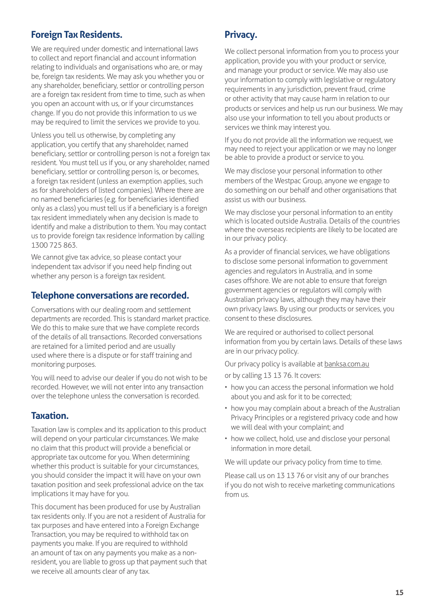### <span id="page-14-0"></span>**Foreign Tax Residents.**

We are required under domestic and international laws to collect and report financial and account information relating to individuals and organisations who are, or may be, foreign tax residents. We may ask you whether you or any shareholder, beneficiary, settlor or controlling person are a foreign tax resident from time to time, such as when you open an account with us, or if your circumstances change. If you do not provide this information to us we may be required to limit the services we provide to you.

Unless you tell us otherwise, by completing any application, you certify that any shareholder, named beneficiary, settlor or controlling person is not a foreign tax resident. You must tell us if you, or any shareholder, named beneficiary, settlor or controlling person is, or becomes, a foreign tax resident (unless an exemption applies, such as for shareholders of listed companies). Where there are no named beneficiaries (e.g. for beneficiaries identified only as a class) you must tell us if a beneficiary is a foreign tax resident immediately when any decision is made to identify and make a distribution to them. You may contact us to provide foreign tax residence information by calling 1300 725 863.

We cannot give tax advice, so please contact your independent tax advisor if you need help finding out whether any person is a foreign tax resident.

#### **Telephone conversations are recorded.**

Conversations with our dealing room and settlement departments are recorded. This is standard market practice. We do this to make sure that we have complete records of the details of all transactions. Recorded conversations are retained for a limited period and are usually used where there is a dispute or for staff training and monitoring purposes.

You will need to advise our dealer if you do not wish to be recorded. However, we will not enter into any transaction over the telephone unless the conversation is recorded.

#### **Taxation.**

Taxation law is complex and its application to this product will depend on your particular circumstances. We make no claim that this product will provide a beneficial or appropriate tax outcome for you. When determining whether this product is suitable for your circumstances, you should consider the impact it will have on your own taxation position and seek professional advice on the tax implications it may have for you.

This document has been produced for use by Australian tax residents only. If you are not a resident of Australia for tax purposes and have entered into a Foreign Exchange Transaction, you may be required to withhold tax on payments you make. If you are required to withhold an amount of tax on any payments you make as a nonresident, you are liable to gross up that payment such that we receive all amounts clear of any tax.

#### **Privacy.**

We collect personal information from you to process your application, provide you with your product or service, and manage your product or service. We may also use your information to comply with legislative or regulatory requirements in any jurisdiction, prevent fraud, crime or other activity that may cause harm in relation to our products or services and help us run our business. We may also use your information to tell you about products or services we think may interest you.

If you do not provide all the information we request, we may need to reject your application or we may no longer be able to provide a product or service to you.

We may disclose your personal information to other members of the Westpac Group, anyone we engage to do something on our behalf and other organisations that assist us with our business.

We may disclose your personal information to an entity which is located outside Australia. Details of the countries where the overseas recipients are likely to be located are in our privacy policy.

As a provider of financial services, we have obligations to disclose some personal information to government agencies and regulators in Australia, and in some cases offshore. We are not able to ensure that foreign government agencies or regulators will comply with Australian privacy laws, although they may have their own privacy laws. By using our products or services, you consent to these disclosures.

We are required or authorised to collect personal information from you by certain laws. Details of these laws are in our privacy policy.

Our privacy policy is available at [banksa.com.au](http://banksa.com.au) or by calling 13 13 76. It covers:

- how you can access the personal information we hold about you and ask for it to be corrected;
- how you may complain about a breach of the Australian Privacy Principles or a registered privacy code and how we will deal with your complaint; and
- how we collect, hold, use and disclose your personal information in more detail.

We will update our privacy policy from time to time.

Please call us on 13 13 76 or visit any of our branches if you do not wish to receive marketing communications from us.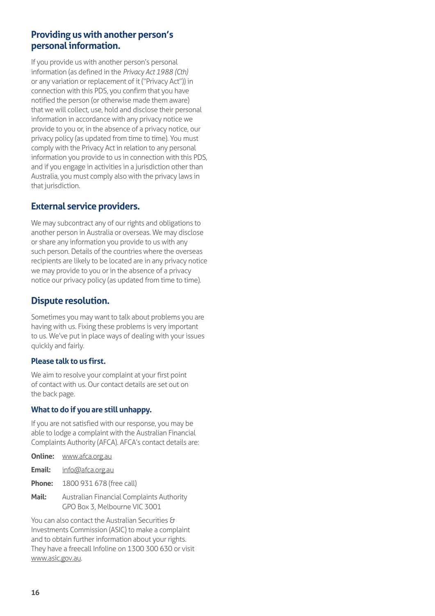### <span id="page-15-0"></span>**Providing us with another person's personal information.**

If you provide us with another person's personal information (as defined in the *Privacy Act 1988 (Cth)* or any variation or replacement of it ("Privacy Act")) in connection with this PDS, you confirm that you have notified the person (or otherwise made them aware) that we will collect, use, hold and disclose their personal information in accordance with any privacy notice we provide to you or, in the absence of a privacy notice, our privacy policy (as updated from time to time). You must comply with the Privacy Act in relation to any personal information you provide to us in connection with this PDS, and if you engage in activities in a jurisdiction other than Australia, you must comply also with the privacy laws in that jurisdiction.

### **External service providers.**

We may subcontract any of our rights and obligations to another person in Australia or overseas. We may disclose or share any information you provide to us with any such person. Details of the countries where the overseas recipients are likely to be located are in any privacy notice we may provide to you or in the absence of a privacy notice our privacy policy (as updated from time to time).

# **Dispute resolution.**

Sometimes you may want to talk about problems you are having with us. Fixing these problems is very important to us. We've put in place ways of dealing with your issues quickly and fairly.

#### **Please talk to us first.**

We aim to resolve your complaint at your first point of contact with us. Our contact details are set out on the back page.

#### **What to do if you are still unhappy.**

If you are not satisfied with our response, you may be able to lodge a complaint with the Australian Financial Complaints Authority (AFCA). AFCA's contact details are:

| <b>Online: WWW.afca.org.au</b>         |
|----------------------------------------|
| <b>Email:</b> info@afca.org.au         |
| <b>Phone:</b> 1800 931 678 (free call) |

**Mail:** Australian Financial Complaints Authority GPO Box 3, Melbourne VIC 3001

You can also contact the Australian Securities & Investments Commission (ASIC) to make a complaint and to obtain further information about your rights. They have a freecall Infoline on 1300 300 630 or visit www.asic.gov.au.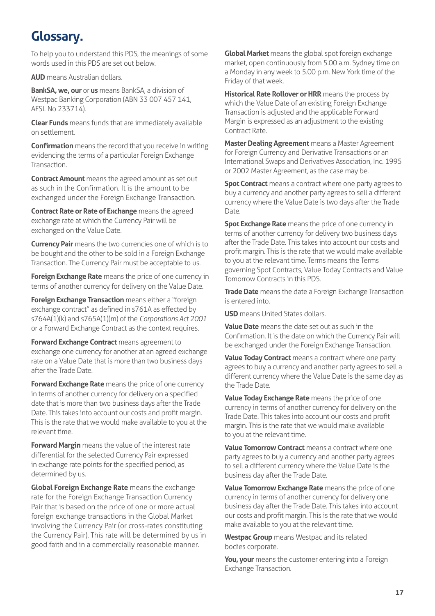# <span id="page-16-0"></span>**Glossary.**

To help you to understand this PDS, the meanings of some words used in this PDS are set out below.

**AUD** means Australian dollars.

**BankSA, we, our** or **us** means BankSA, a division of Westpac Banking Corporation (ABN 33 007 457 141, AFSL No 233714).

**Clear Funds** means funds that are immediately available on settlement.

**Confirmation** means the record that you receive in writing evidencing the terms of a particular Foreign Exchange Transaction.

**Contract Amount** means the agreed amount as set out as such in the Confirmation. It is the amount to be exchanged under the Foreign Exchange Transaction.

**Contract Rate or Rate of Exchange** means the agreed exchange rate at which the Currency Pair will be exchanged on the Value Date.

**Currency Pair** means the two currencies one of which is to be bought and the other to be sold in a Foreign Exchange Transaction. The Currency Pair must be acceptable to us.

**Foreign Exchange Rate** means the price of one currency in terms of another currency for delivery on the Value Date.

**Foreign Exchange Transaction** means either a "foreign exchange contract" as defined in s761A as effected by s764A(1)(k) and s765A(1)(m) of the *Corporations Act 2001*  or a Forward Exchange Contract as the context requires.

**Forward Exchange Contract** means agreement to exchange one currency for another at an agreed exchange rate on a Value Date that is more than two business days after the Trade Date.

**Forward Exchange Rate** means the price of one currency in terms of another currency for delivery on a specified date that is more than two business days after the Trade Date. This takes into account our costs and profit margin. This is the rate that we would make available to you at the relevant time.

**Forward Margin** means the value of the interest rate differential for the selected Currency Pair expressed in exchange rate points for the specified period, as determined by us.

**Global Foreign Exchange Rate** means the exchange rate for the Foreign Exchange Transaction Currency Pair that is based on the price of one or more actual foreign exchange transactions in the Global Market involving the Currency Pair (or cross-rates constituting the Currency Pair). This rate will be determined by us in good faith and in a commercially reasonable manner.

**Global Market** means the global spot foreign exchange market, open continuously from 5.00 a.m. Sydney time on a Monday in any week to 5.00 p.m. New York time of the Friday of that week.

**Historical Rate Rollover or HRR** means the process by which the Value Date of an existing Foreign Exchange Transaction is adjusted and the applicable Forward Margin is expressed as an adjustment to the existing Contract Rate.

**Master Dealing Agreement** means a Master Agreement for Foreign Currency and Derivative Transactions or an International Swaps and Derivatives Association, Inc. 1995 or 2002 Master Agreement, as the case may be.

**Spot Contract** means a contract where one party agrees to buy a currency and another party agrees to sell a different currency where the Value Date is two days after the Trade Date.

**Spot Exchange Rate** means the price of one currency in terms of another currency for delivery two business days after the Trade Date. This takes into account our costs and profit margin. This is the rate that we would make available to you at the relevant time. Terms means the Terms governing Spot Contracts, Value Today Contracts and Value Tomorrow Contracts in this PDS.

**Trade Date** means the date a Foreign Exchange Transaction is entered into.

**USD** means United States dollars.

**Value Date** means the date set out as such in the Confirmation. It is the date on which the Currency Pair will be exchanged under the Foreign Exchange Transaction.

**Value Today Contract** means a contract where one party agrees to buy a currency and another party agrees to sell a different currency where the Value Date is the same day as the Trade Date.

**Value Today Exchange Rate** means the price of one currency in terms of another currency for delivery on the Trade Date. This takes into account our costs and profit margin. This is the rate that we would make available to you at the relevant time.

**Value Tomorrow Contract** means a contract where one party agrees to buy a currency and another party agrees to sell a different currency where the Value Date is the business day after the Trade Date.

**Value Tomorrow Exchange Rate** means the price of one currency in terms of another currency for delivery one business day after the Trade Date. This takes into account our costs and profit margin. This is the rate that we would make available to you at the relevant time.

**Westpac Group** means Westpac and its related bodies corporate.

**You, your** means the customer entering into a Foreign Exchange Transaction.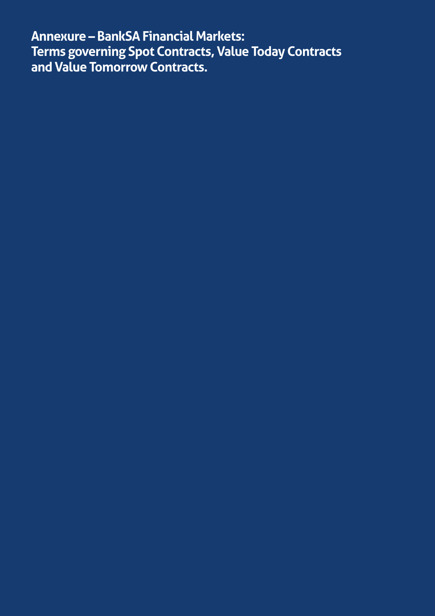<span id="page-17-0"></span>**Annexure - BankSA Financial Markets:** Terms governing Spot Contracts, Value Today Contracts<br>and Value Tomorrow Contracts.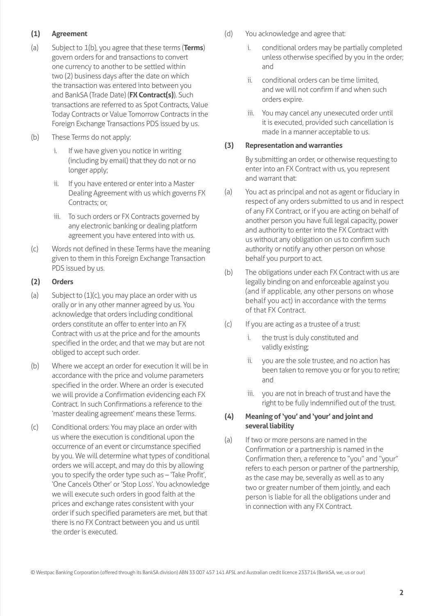#### **(1) Agreement**

- (a) Subject to 1(b), you agree that these terms (**Terms**) govern orders for and transactions to convert one currency to another to be settled within two (2) business days after the date on which the transaction was entered into between you and BankSA (Trade Date) (**FX Contract(s)**). Such transactions are referred to as Spot Contracts, Value Today Contracts or Value Tomorrow Contracts in the Foreign Exchange Transactions PDS issued by us.
- (b) These Terms do not apply:
	- i. If we have given you notice in writing (including by email) that they do not or no longer apply;
	- ii. If you have entered or enter into a Master Dealing Agreement with us which governs FX Contracts; or,
	- iii. To such orders or FX Contracts governed by any electronic banking or dealing platform agreement you have entered into with us.
- (c) Words not defined in these Terms have the meaning given to them in this Foreign Exchange Transaction PDS issued by us.

#### **(2) Orders**

- (a) Subject to  $(1)(c)$ , you may place an order with us orally or in any other manner agreed by us. You acknowledge that orders including conditional orders constitute an offer to enter into an FX Contract with us at the price and for the amounts specified in the order, and that we may but are not obliged to accept such order.
- (b) Where we accept an order for execution it will be in accordance with the price and volume parameters specified in the order. Where an order is executed we will provide a Confirmation evidencing each FX Contract. In such Confirmations a reference to the 'master dealing agreement' means these Terms.
- (c) Conditional orders: You may place an order with us where the execution is conditional upon the occurrence of an event or circumstance specified by you. We will determine what types of conditional orders we will accept, and may do this by allowing you to specify the order type such as – 'Take Profit', 'One Cancels Other' or 'Stop Loss'. You acknowledge we will execute such orders in good faith at the prices and exchange rates consistent with your order if such specified parameters are met, but that there is no FX Contract between you and us until the order is executed.
- (d) You acknowledge and agree that:
	- i. conditional orders may be partially completed unless otherwise specified by you in the order; and
	- ii. conditional orders can be time limited, and we will not confirm if and when such orders expire.
	- iii. You may cancel any unexecuted order until it is executed, provided such cancellation is made in a manner acceptable to us.

#### **(3) Representation and warranties**

By submitting an order, or otherwise requesting to enter into an FX Contract with us, you represent and warrant that:

- (a) You act as principal and not as agent or fiduciary in respect of any orders submitted to us and in respect of any FX Contract, or if you are acting on behalf of another person you have full legal capacity, power and authority to enter into the FX Contract with us without any obligation on us to confirm such authority or notify any other person on whose behalf you purport to act.
- (b) The obligations under each FX Contract with us are legally binding on and enforceable against you (and if applicable, any other persons on whose behalf you act) in accordance with the terms of that FX Contract.
- (c) If you are acting as a trustee of a trust:
	- i. the trust is duly constituted and validly existing;
	- ii. you are the sole trustee, and no action has been taken to remove you or for you to retire; and
	- iii. you are not in breach of trust and have the right to be fully indemnified out of the trust.

#### **(4) Meaning of 'you' and 'your' and joint and several liability**

(a) If two or more persons are named in the Confirmation or a partnership is named in the Confirmation then, a reference to "you" and "your" refers to each person or partner of the partnership, as the case may be, severally as well as to any two or greater number of them jointly, and each person is liable for all the obligations under and in connection with any FX Contract.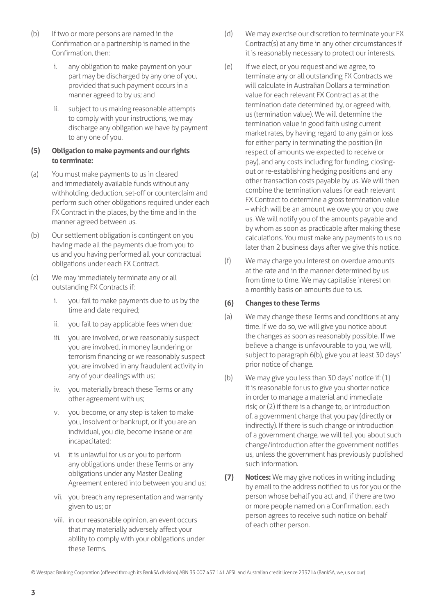- (b) If two or more persons are named in the Confirmation or a partnership is named in the Confirmation, then:
	- i. any obligation to make payment on your part may be discharged by any one of you, provided that such payment occurs in a manner agreed to by us; and
	- ii. subject to us making reasonable attempts to comply with your instructions, we may discharge any obligation we have by payment to any one of you.

#### **(5) Obligation to make payments and our rights to terminate:**

- (a) You must make payments to us in cleared and immediately available funds without any withholding, deduction, set-off or counterclaim and perform such other obligations required under each FX Contract in the places, by the time and in the manner agreed between us.
- (b) Our settlement obligation is contingent on you having made all the payments due from you to us and you having performed all your contractual obligations under each FX Contract.
- (c) We may immediately terminate any or all outstanding FX Contracts if:
	- i. you fail to make payments due to us by the time and date required;
	- ii. you fail to pay applicable fees when due;
	- iii. you are involved, or we reasonably suspect you are involved, in money laundering or terrorism financing or we reasonably suspect you are involved in any fraudulent activity in any of your dealings with us;
	- iv. you materially breach these Terms or any other agreement with us;
	- v. you become, or any step is taken to make you, insolvent or bankrupt, or if you are an individual, you die, become insane or are incapacitated;
	- vi. it is unlawful for us or you to perform any obligations under these Terms or any obligations under any Master Dealing Agreement entered into between you and us;
	- vii. you breach any representation and warranty given to us; or
	- viii. in our reasonable opinion, an event occurs that may materially adversely affect your ability to comply with your obligations under these Terms.
- (d) We may exercise our discretion to terminate your FX Contract(s) at any time in any other circumstances if it is reasonably necessary to protect our interests.
- (e) If we elect, or you request and we agree, to terminate any or all outstanding FX Contracts we will calculate in Australian Dollars a termination value for each relevant FX Contract as at the termination date determined by, or agreed with, us (termination value). We will determine the termination value in good faith using current market rates, by having regard to any gain or loss for either party in terminating the position (in respect of amounts we expected to receive or pay), and any costs including for funding, closingout or re-establishing hedging positions and any other transaction costs payable by us. We will then combine the termination values for each relevant FX Contract to determine a gross termination value – which will be an amount we owe you or you owe us. We will notify you of the amounts payable and by whom as soon as practicable after making these calculations. You must make any payments to us no later than 2 business days after we give this notice.
- (f) We may charge you interest on overdue amounts at the rate and in the manner determined by us from time to time. We may capitalise interest on a monthly basis on amounts due to us.

#### **(6) Changes to these Terms**

- (a) We may change these Terms and conditions at any time. If we do so, we will give you notice about the changes as soon as reasonably possible. If we believe a change is unfavourable to you, we will, subject to paragraph 6(b), give you at least 30 days' prior notice of change.
- (b) We may give you less than 30 days' notice if: (1) it is reasonable for us to give you shorter notice in order to manage a material and immediate risk; or (2) if there is a change to, or introduction of, a government charge that you pay (directly or indirectly). If there is such change or introduction of a government charge, we will tell you about such change/introduction after the government notifies us, unless the government has previously published such information.
- **(7) Notices:** We may give notices in writing including by email to the address notified to us for you or the person whose behalf you act and, if there are two or more people named on a Confirmation, each person agrees to receive such notice on behalf of each other person.

<sup>©</sup> Westpac Banking Corporation (offered through its BankSA division) ABN 33 007 457 141 AFSL and Australian credit licence 233714 (BankSA, we, us or our)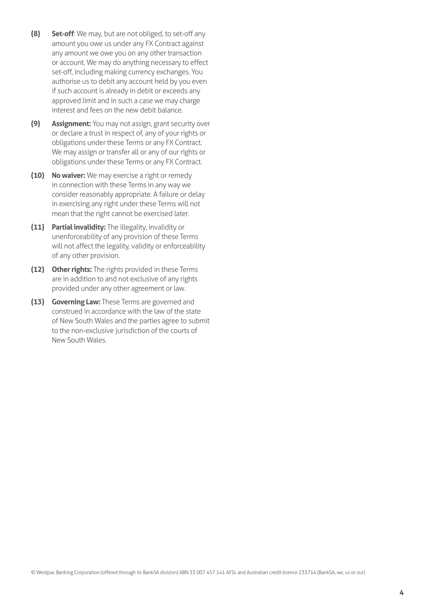- **(8) Set-off:** We may, but are not obliged, to set-off any amount you owe us under any FX Contract against any amount we owe you on any other transaction or account. We may do anything necessary to effect set-off, including making currency exchanges. You authorise us to debit any account held by you even if such account is already in debit or exceeds any approved limit and in such a case we may charge interest and fees on the new debit balance.
- **(9) Assignment:** You may not assign, grant security over or declare a trust in respect of, any of your rights or obligations under these Terms or any FX Contract. We may assign or transfer all or any of our rights or obligations under these Terms or any FX Contract.
- **(10) No waiver:** We may exercise a right or remedy in connection with these Terms in any way we consider reasonably appropriate. A failure or delay in exercising any right under these Terms will not mean that the right cannot be exercised later.
- **(11) Partial invalidity:** The illegality, invalidity or unenforceability of any provision of these Terms will not affect the legality, validity or enforceability of any other provision.
- **(12) Other rights:** The rights provided in these Terms are in addition to and not exclusive of any rights provided under any other agreement or law.
- **(13) Governing Law:** These Terms are governed and construed in accordance with the law of the state of New South Wales and the parties agree to submit to the non-exclusive jurisdiction of the courts of New South Wales.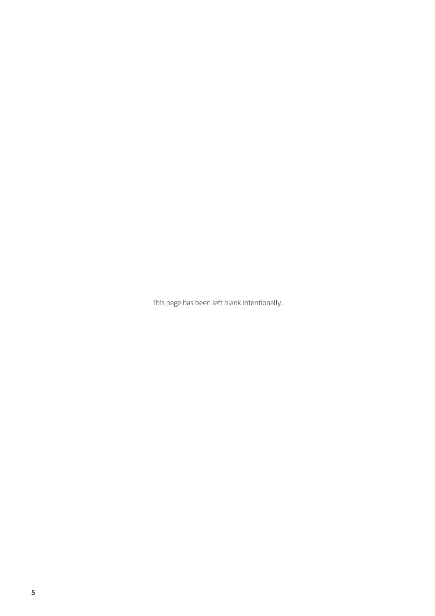This page has been left blank intentionally.